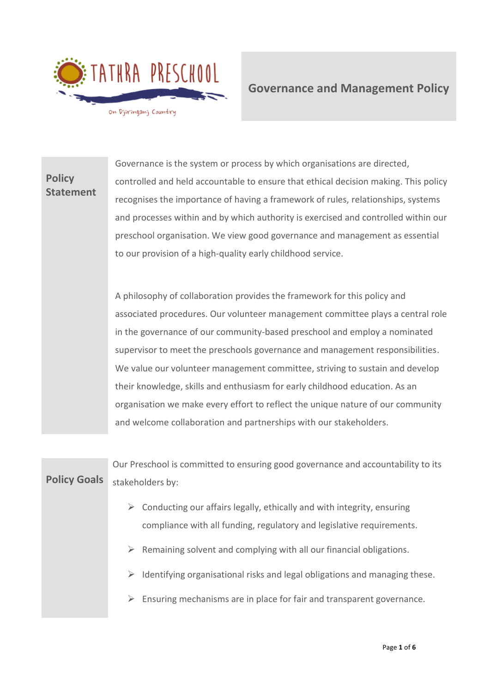

**Governance and Management Policy** 

**Policy Statement** Governance is the system or process by which organisations are directed, controlled and held accountable to ensure that ethical decision making. This policy recognises the importance of having a framework of rules, relationships, systems and processes within and by which authority is exercised and controlled within our preschool organisation. We view good governance and management as essential to our provision of a high-quality early childhood service.

> A philosophy of collaboration provides the framework for this policy and associated procedures. Our volunteer management committee plays a central role in the governance of our community-based preschool and employ a nominated supervisor to meet the preschools governance and management responsibilities. We value our volunteer management committee, striving to sustain and develop their knowledge, skills and enthusiasm for early childhood education. As an organisation we make every effort to reflect the unique nature of our community and welcome collaboration and partnerships with our stakeholders.

**Policy Goals** Our Preschool is committed to ensuring good governance and accountability to its stakeholders by:  $\triangleright$  Conducting our affairs legally, ethically and with integrity, ensuring compliance with all funding, regulatory and legislative requirements.  $\triangleright$  Remaining solvent and complying with all our financial obligations.  $\triangleright$  Identifying organisational risks and legal obligations and managing these.  $\triangleright$  Ensuring mechanisms are in place for fair and transparent governance.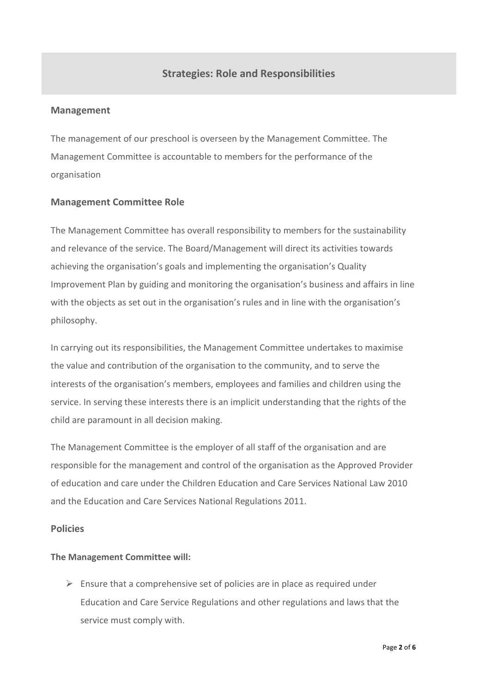# **Strategies: Role and Responsibilities**

## **Management**

The management of our preschool is overseen by the Management Committee. The Management Committee is accountable to members for the performance of the organisation

## **Management Committee Role**

The Management Committee has overall responsibility to members for the sustainability and relevance of the service. The Board/Management will direct its activities towards achieving the organisation's goals and implementing the organisation's Quality Improvement Plan by guiding and monitoring the organisation's business and affairs in line with the objects as set out in the organisation's rules and in line with the organisation's philosophy.

In carrying out its responsibilities, the Management Committee undertakes to maximise the value and contribution of the organisation to the community, and to serve the interests of the organisation's members, employees and families and children using the service. In serving these interests there is an implicit understanding that the rights of the child are paramount in all decision making.

The Management Committee is the employer of all staff of the organisation and are responsible for the management and control of the organisation as the Approved Provider of education and care under the Children Education and Care Services National Law 2010 and the Education and Care Services National Regulations 2011.

## **Policies**

## **The Management Committee will:**

 $\triangleright$  Ensure that a comprehensive set of policies are in place as required under Education and Care Service Regulations and other regulations and laws that the service must comply with.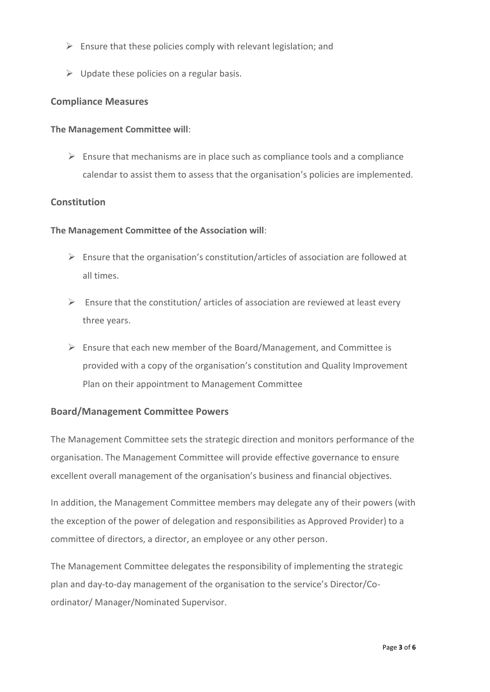- $\triangleright$  Ensure that these policies comply with relevant legislation; and
- $\triangleright$  Update these policies on a regular basis.

## **Compliance Measures**

#### **The Management Committee will**:

 $\triangleright$  Ensure that mechanisms are in place such as compliance tools and a compliance calendar to assist them to assess that the organisation's policies are implemented.

## **Constitution**

#### **The Management Committee of the Association will**:

- $\triangleright$  Ensure that the organisation's constitution/articles of association are followed at all times.
- $\triangleright$  Ensure that the constitution/ articles of association are reviewed at least every three years.
- $\triangleright$  Ensure that each new member of the Board/Management, and Committee is provided with a copy of the organisation's constitution and Quality Improvement Plan on their appointment to Management Committee

## **Board/Management Committee Powers**

The Management Committee sets the strategic direction and monitors performance of the organisation. The Management Committee will provide effective governance to ensure excellent overall management of the organisation's business and financial objectives.

In addition, the Management Committee members may delegate any of their powers (with the exception of the power of delegation and responsibilities as Approved Provider) to a committee of directors, a director, an employee or any other person.

The Management Committee delegates the responsibility of implementing the strategic plan and day-to-day management of the organisation to the service's Director/Coordinator/ Manager/Nominated Supervisor.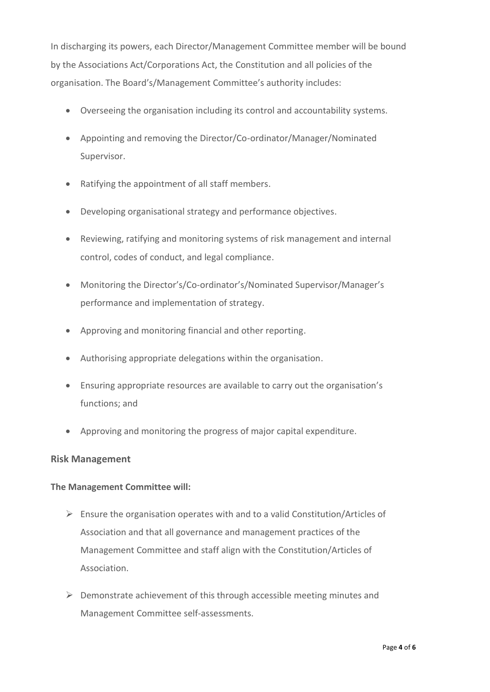In discharging its powers, each Director/Management Committee member will be bound by the Associations Act/Corporations Act, the Constitution and all policies of the organisation. The Board's/Management Committee's authority includes:

- Overseeing the organisation including its control and accountability systems.
- Appointing and removing the Director/Co-ordinator/Manager/Nominated Supervisor.
- Ratifying the appointment of all staff members.
- Developing organisational strategy and performance objectives.
- Reviewing, ratifying and monitoring systems of risk management and internal control, codes of conduct, and legal compliance.
- Monitoring the Director's/Co-ordinator's/Nominated Supervisor/Manager's performance and implementation of strategy.
- Approving and monitoring financial and other reporting.
- Authorising appropriate delegations within the organisation.
- Ensuring appropriate resources are available to carry out the organisation's functions; and
- Approving and monitoring the progress of major capital expenditure.

## **Risk Management**

## **The Management Committee will:**

- $\triangleright$  Ensure the organisation operates with and to a valid Constitution/Articles of Association and that all governance and management practices of the Management Committee and staff align with the Constitution/Articles of Association.
- $\triangleright$  Demonstrate achievement of this through accessible meeting minutes and Management Committee self-assessments.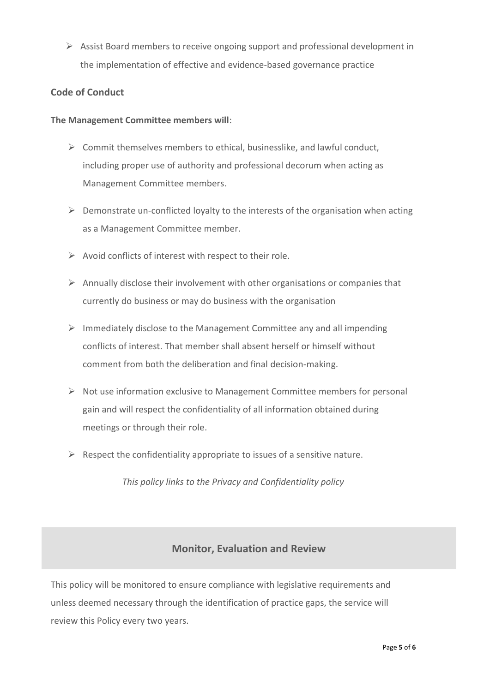➢ Assist Board members to receive ongoing support and professional development in the implementation of effective and evidence-based governance practice

## **Code of Conduct**

## **The Management Committee members will**:

- $\triangleright$  Commit themselves members to ethical, businesslike, and lawful conduct, including proper use of authority and professional decorum when acting as Management Committee members.
- $\triangleright$  Demonstrate un-conflicted loyalty to the interests of the organisation when acting as a Management Committee member.
- $\triangleright$  Avoid conflicts of interest with respect to their role.
- $\triangleright$  Annually disclose their involvement with other organisations or companies that currently do business or may do business with the organisation
- ➢ Immediately disclose to the Management Committee any and all impending conflicts of interest. That member shall absent herself or himself without comment from both the deliberation and final decision-making.
- $\triangleright$  Not use information exclusive to Management Committee members for personal gain and will respect the confidentiality of all information obtained during meetings or through their role.
- $\triangleright$  Respect the confidentiality appropriate to issues of a sensitive nature.

*This policy links to the Privacy and Confidentiality policy*

# **Monitor, Evaluation and Review**

This policy will be monitored to ensure compliance with legislative requirements and unless deemed necessary through the identification of practice gaps, the service will review this Policy every two years.